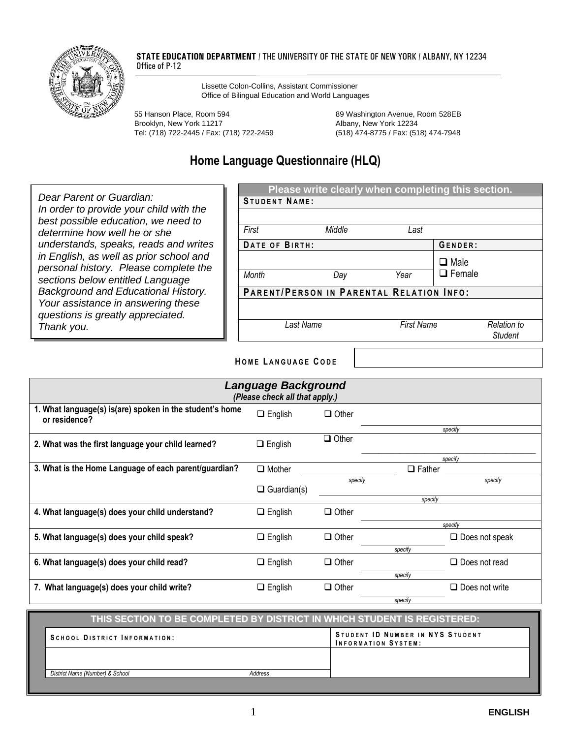

#### **STATE EDUCATION DEPARTMENT** / THE UNIVERSITY OF THE STATE OF NEW YORK / ALBANY, NY 12234 Office of P-12

Lissette Colon-Collins, Assistant Commissioner Office of Bilingual Education and World Languages

55 Hanson Place, Room 594 89 Washington Avenue, Room 528EB Brooklyn, New York 11217 Mateur Albany, New York 12234 Tel: (718) 722-2445 / Fax: (718) 722-2459 (518) 474-8775 / Fax: (518) 474-7948

## **Home Language Questionnaire (HLQ)**

*Dear Parent or Guardian: In order to provide your child with the best possible education, we need to determine how well he or she understands, speaks, reads and writes in English, as well as prior school and personal history. Please complete the sections below entitled Language Background and Educational History. Your assistance in answering these questions is greatly appreciated. Thank you.*

| <b>STUDENT NAME:</b> | Please write clearly when completing this section. |                   |                              |                               |
|----------------------|----------------------------------------------------|-------------------|------------------------------|-------------------------------|
| First                | Middle                                             | Last              |                              |                               |
| DATE OF BIRTH:       |                                                    |                   | GENDER:                      |                               |
| <b>Month</b>         | Day                                                | Year              | $\Box$ Male<br>$\Box$ Female |                               |
|                      | PARENT/PERSON IN PARENTAL RELATION INFO:           |                   |                              |                               |
|                      |                                                    |                   |                              |                               |
| Last Name            |                                                    | <b>First Name</b> |                              | Relation to<br><b>Student</b> |

#### **H O M E L ANGUAGE C ODE**

| <b>Language Background</b><br>(Please check all that apply.)              |                    |              |               |                       |  |  |
|---------------------------------------------------------------------------|--------------------|--------------|---------------|-----------------------|--|--|
| 1. What language(s) is(are) spoken in the student's home<br>or residence? | $\Box$ English     | $\Box$ Other |               |                       |  |  |
|                                                                           |                    | $\Box$ Other |               | specify               |  |  |
| 2. What was the first language your child learned?                        | $\Box$ English     |              |               |                       |  |  |
|                                                                           |                    |              |               | specify               |  |  |
| 3. What is the Home Language of each parent/guardian?                     | $\Box$ Mother      |              | $\Box$ Father |                       |  |  |
|                                                                           |                    | specify      |               | specify               |  |  |
|                                                                           | $\Box$ Guardian(s) |              |               |                       |  |  |
|                                                                           |                    |              | specify       |                       |  |  |
| 4. What language(s) does your child understand?                           | $\Box$ English     | $\Box$ Other |               |                       |  |  |
|                                                                           |                    |              |               | specify               |  |  |
| 5. What language(s) does your child speak?                                | $\Box$ English     | $\Box$ Other |               | $\Box$ Does not speak |  |  |
|                                                                           |                    |              | specify       |                       |  |  |
| 6. What language(s) does your child read?                                 | $\Box$ English     | $\Box$ Other |               | $\Box$ Does not read  |  |  |
|                                                                           |                    |              | specify       |                       |  |  |
| 7. What language(s) does your child write?                                | $\Box$ English     | $\Box$ Other |               | $\Box$ Does not write |  |  |
|                                                                           |                    |              | specify       |                       |  |  |

### **THIS SECTION TO BE COMPLETED BY DISTRICT IN WHICH STUDENT IS REGISTERED: S C H O O L D I S T R I C T I N F O R M A T I O N : STUDENT ID NUMBER IN NYS STUDENT I N F O R M A T I O N S Y S T E M :** *District Name (Number) & School Address*